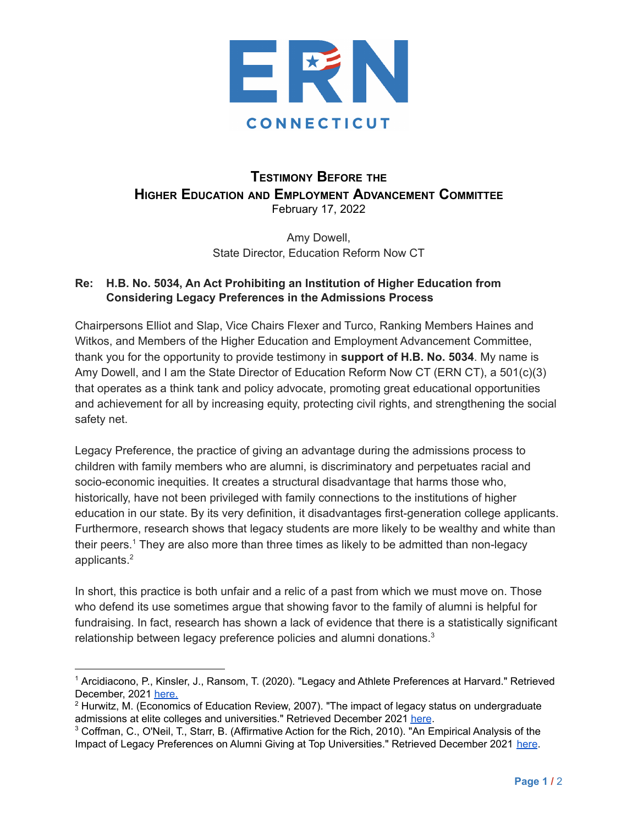

## **TESTIMONY BEFORE THE HIGHER EDUCATION AND EMPLOYMENT ADVANCEMENT COMMITTEE** February 17, 2022

Amy Dowell, State Director, Education Reform Now CT

## **Re: H.B. No. 5034, An Act Prohibiting an Institution of Higher Education from Considering Legacy Preferences in the Admissions Process**

Chairpersons Elliot and Slap, Vice Chairs Flexer and Turco, Ranking Members Haines and Witkos, and Members of the Higher Education and Employment Advancement Committee, thank you for the opportunity to provide testimony in **support of H.B. No. 5034**. My name is Amy Dowell, and I am the State Director of Education Reform Now CT (ERN CT), a 501(c)(3) that operates as a think tank and policy advocate, promoting great educational opportunities and achievement for all by increasing equity, protecting civil rights, and strengthening the social safety net.

Legacy Preference, the practice of giving an advantage during the admissions process to children with family members who are alumni, is discriminatory and perpetuates racial and socio-economic inequities. It creates a structural disadvantage that harms those who, historically, have not been privileged with family connections to the institutions of higher education in our state. By its very definition, it disadvantages first-generation college applicants. Furthermore, research shows that legacy students are more likely to be wealthy and white than their peers.<sup>1</sup> They are also more than three times as likely to be admitted than non-legacy applicants. 2

In short, this practice is both unfair and a relic of a past from which we must move on. Those who defend its use sometimes argue that showing favor to the family of alumni is helpful for fundraising. In fact, research has shown a lack of evidence that there is a statistically significant relationship between legacy preference policies and alumni donations.<sup>3</sup>

<sup>&</sup>lt;sup>1</sup> Arcidiacono, P., Kinsler, J., Ransom, T. (2020). "Legacy and Athlete Preferences at Harvard." Retrieved December, 2021 [here.](http://public.econ.duke.edu/~psarcidi/legacyathlete.pdf)

 $2$  Hurwitz, M. (Economics of Education Review, 2007). "The impact of legacy status on undergraduate admissions at elite colleges and universities." Retrieved December 2021 [here](http://ephblog.com/wp-content/uploads/2017/04/Impact-of-Legacy-on-Undergrad-Admissions.pdf).

<sup>3</sup> Coffman, C., O'Neil, T., Starr, B. (Affirmative Action for the Rich, 2010). "An Empirical Analysis of the Impact of Legacy Preferences on Alumni Giving at Top Universities." Retrieved December 2021 [here](https://production-tcf.imgix.net/app/uploads/2016/03/08201915/2010-09-15-chapter_5.pdf).